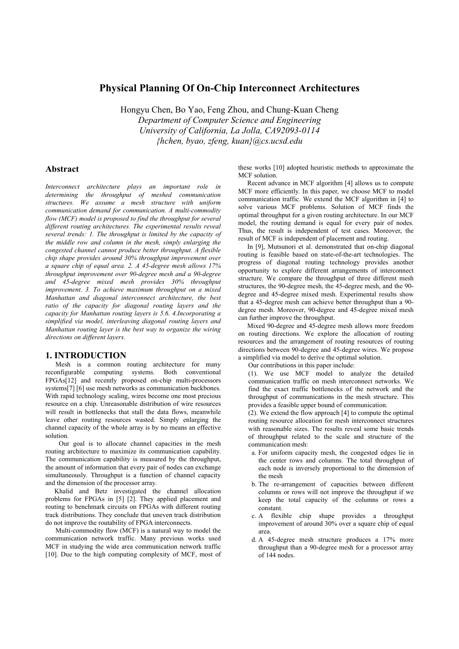# **Physical Planning Of On-Chip Interconnect Architectures**

Hongyu Chen, Bo Yao, Feng Zhou, and Chung-Kuan Cheng *Department of Computer Science and Engineering University of California, La Jolla, CA92093-0114 {hchen, byao, zfeng, kuan}@cs.ucsd.edu* 

## **Abstract**

*Interconnect architecture plays an important role in determining the throughput of meshed communication structures. We assume a mesh structure with uniform communication demand for communication. A multi-commodity flow (MCF) model is proposed to find the throughput for several different routing architectures. The experimental results reveal several trends: 1. The throughput is limited by the capacity of the middle row and column in the mesh, simply enlarging the congested channel cannot produce better throughput. A flexible chip shape provides around 30% throughput improvement over a square chip of equal area. 2. A 45-degree mesh allows 17% throughput improvement over 90-degree mesh and a 90-degree and 45-degree mixed mesh provides 30% throughput improvement. 3. To achieve maximum throughput on a mixed Manhattan and diagonal interconnect architecture, the best ratio of the capacity for diagonal routing layers and the capacity for Manhattan routing layers is 5.6. 4.Incorporating a simplified via model, interleaving diagonal routing layers and Manhattan routing layer is the best way to organize the wiring directions on different layers.* 

## **1. INTRODUCTION**

Mesh is a common routing architecture for many reconfigurable computing systems. Both conventional FPGAs[12] and recently proposed on-chip multi-processors systems[7] [6] use mesh networks as communication backbones. With rapid technology scaling, wires become one most precious resource on a chip. Unreasonable distribution of wire resources will result in bottlenecks that stall the data flows, meanwhile leave other routing resources wasted. Simply enlarging the channel capacity of the whole array is by no means an effective solution.

Our goal is to allocate channel capacities in the mesh routing architecture to maximize its communication capability. The communication capability is measured by the throughput, the amount of information that every pair of nodes can exchange simultaneously. Throughput is a function of channel capacity and the dimension of the processor array.

Khalid and Betz investigated the channel allocation problems for FPGAs in [5] [2]. They applied placement and routing to benchmark circuits on FPGAs with different routing track distributions. They conclude that uneven track distribution do not improve the routability of FPGA interconnects.

Multi-commodity flow (MCF) is a natural way to model the communication network traffic. Many previous works used MCF in studying the wide area communication network traffic [10]. Due to the high computing complexity of MCF, most of these works [10] adopted heuristic methods to approximate the MCF solution

Recent advance in MCF algorithm [4] allows us to compute MCF more efficiently. In this paper, we choose MCF to model communication traffic. We extend the MCF algorithm in [4] to solve various MCF problems. Solution of MCF finds the optimal throughput for a given routing architecture. In our MCF model, the routing demand is equal for every pair of nodes. Thus, the result is independent of test cases. Moreover, the result of MCF is independent of placement and routing.

In [9], Mutsunori et al. demonstrated that on-chip diagonal routing is feasible based on state-of-the-art technologies. The progress of diagonal routing technology provides another opportunity to explore different arrangements of interconnect structure. We compare the throughput of three different mesh structures, the 90-degree mesh, the 45-degree mesh, and the 90 degree and 45-degree mixed mesh. Experimental results show that a 45-degree mesh can achieve better throughput than a 90 degree mesh. Moreover, 90-degree and 45-degree mixed mesh can further improve the throughput.

Mixed 90-degree and 45-degree mesh allows more freedom on routing directions. We explore the allocation of routing resources and the arrangement of routing resources of routing directions between 90-degree and 45-degree wires. We propose a simplified via model to derive the optimal solution.

Our contributions in this paper include:

(1). We use MCF model to analyze the detailed communication traffic on mesh interconnect networks. We find the exact traffic bottlenecks of the network and the throughput of communications in the mesh structure. This provides a feasible upper bound of communication.

(2). We extend the flow approach [4] to compute the optimal routing resource allocation for mesh interconnect structures with reasonable sizes. The results reveal some basic trends of throughput related to the scale and structure of the communication mesh:

- a. For uniform capacity mesh, the congested edges lie in the center rows and columns. The total throughput of each node is inversely proportional to the dimension of the mesh
- b. The re-arrangement of capacities between different columns or rows will not improve the throughput if we keep the total capacity of the columns or rows a constant.
- c. A flexible chip shape provides a throughput improvement of around 30% over a square chip of equal area.
- d. A 45-degree mesh structure produces a 17% more throughput than a 90-degree mesh for a processor array of 144 nodes.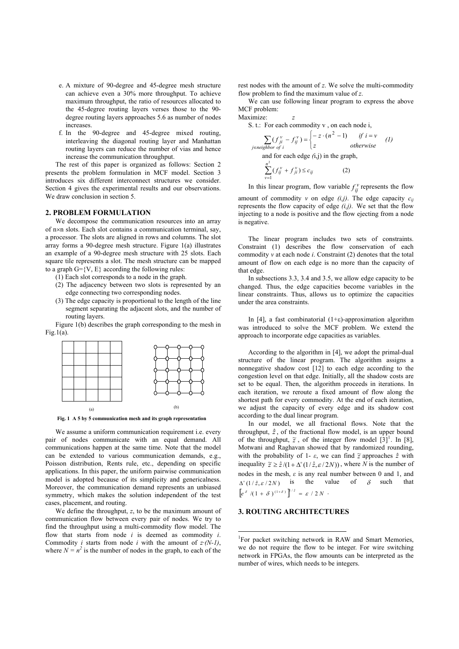- e. A mixture of 90-degree and 45-degree mesh structure can achieve even a 30% more throughput. To achieve maximum throughput, the ratio of resources allocated to the 45-degree routing layers verses those to the 90 degree routing layers approaches 5.6 as number of nodes increases.
- f. In the 90-degree and 45-degree mixed routing, interleaving the diagonal routing layer and Manhattan routing layers can reduce the number of vias and hence increase the communication throughput.

The rest of this paper is organized as follows: Section 2 presents the problem formulation in MCF model. Section 3 introduces six different interconnect structures we consider. Section 4 gives the experimental results and our observations. We draw conclusion in section 5.

### **2. PROBLEM FORMULATION**

We decompose the communication resources into an array of n×n slots. Each slot contains a communication terminal, say, a processor. The slots are aligned in rows and columns. The slot array forms a 90-degree mesh structure. Figure 1(a) illustrates an example of a 90-degree mesh structure with 25 slots. Each square tile represents a slot. The mesh structure can be mapped to a graph  $G=\{V, E\}$  according the following rules:

(1) Each slot corresponds to a node in the graph.

- (2) The adjacency between two slots is represented by an edge connecting two corresponding nodes.
- (3) The edge capacity is proportional to the length of the line segment separating the adjacent slots, and the number of routing layers.

Figure 1(b) describes the graph corresponding to the mesh in  $Fig.1(a)$ .



**Fig. 1 A 5 by 5 communication mesh and its graph representation** 

We assume a uniform communication requirement i.e. every pair of nodes communicate with an equal demand. All communications happen at the same time. Note that the model can be extended to various communication demands, e.g., Poisson distribution, Rents rule, etc., depending on specific applications. In this paper, the uniform pairwise communication model is adopted because of its simplicity and genericalness. Moreover, the communication demand represents an unbiased symmetry, which makes the solution independent of the test cases, placement, and routing.

We define the throughput, *z*, to be the maximum amount of communication flow between every pair of nodes. We try to find the throughput using a multi-commodity flow model. The flow that starts from node *i* is deemed as commodity *i*. Commodity *i* starts from node *i* with the amount of  $z \cdot (N-1)$ , where  $N = n^2$  is the number of nodes in the graph, to each of the rest nodes with the amount of *z*. We solve the multi-commodity flow problem to find the maximum value of *z*.

We can use following linear program to express the above MCF problem: Maximize: *z*

S. t.: For each commodity v, on each node i,

$$
\sum_{j \in neighbor} (f_{ji}^v - f_{ij}^v) = \begin{cases} -z \cdot (n^2 - 1) & \text{if } i = v \\ z & \text{otherwise} \end{cases}
$$
 (1)  
and for each edge (i,j) in the graph,  

$$
\sum_{v=1}^{n^2} (f_{ij}^v + f_{ji}^v) \le c_{ij}
$$
 (2)

In this linear program, flow variable  $f_{ij}^{\nu}$  represents the flow

amount of commodity  $v$  on edge  $(i,j)$ . The edge capacity  $c_{ij}$ represents the flow capacity of edge *(i,j)*. We set that the flow injecting to a node is positive and the flow ejecting from a node is negative.

The linear program includes two sets of constraints. Constraint (1) describes the flow conservation of each commodity *v* at each node *i*. Constraint (2) denotes that the total amount of flow on each edge is no more than the capacity of that edge.

In subsections 3.3, 3.4 and 3.5, we allow edge capacity to be changed. Thus, the edge capacities become variables in the linear constraints. Thus, allows us to optimize the capacities under the area constraints.

In [4], a fast combinatorial (1+ε)-approximation algorithm was introduced to solve the MCF problem. We extend the approach to incorporate edge capacities as variables.

According to the algorithm in [4], we adopt the primal-dual structure of the linear program. The algorithm assigns a nonnegative shadow cost [12] to each edge according to the congestion level on that edge. Initially, all the shadow costs are set to be equal. Then, the algorithm proceeds in iterations. In each iteration, we reroute a fixed amount of flow along the shortest path for every commodity. At the end of each iteration, we adjust the capacity of every edge and its shadow cost according to the dual linear program.

In our model, we all fractional flows. Note that the throughput,  $\hat{z}$ , of the fractional flow model, is an upper bound of the throughput,  $\tilde{z}$ , of the integer flow model  $\begin{bmatrix} 3 \end{bmatrix}^1$ . In [8], Motwani and Raghavan showed that by randomized rounding, with the probability of 1-  $\varepsilon$ , we can find  $\tilde{z}$  approaches  $\hat{z}$  with inequality  $\tilde{z} \geq \frac{\hat{z}}{1 + \Delta^2 (1/\hat{z}, \varepsilon / 2N)}$ , where *N* is the number of nodes in the mesh,  $\varepsilon$  is any real number between 0 and 1, and  $\Delta^+(1/\hat{z}, \varepsilon/2N)$  is the value of  $\delta$  such that  $\left[e^{\delta} / (1 + \delta)^{(1 + \delta)}\right]^{1/\hat{z}} = \varepsilon / 2 N$ .

## **3. ROUTING ARCHITECTURES**

<sup>&</sup>lt;sup>1</sup>For packet switching network in RAW and Smart Memories, we do not require the flow to be integer. For wire switching network in FPGAs, the flow amounts can be interpreted as the number of wires, which needs to be integers.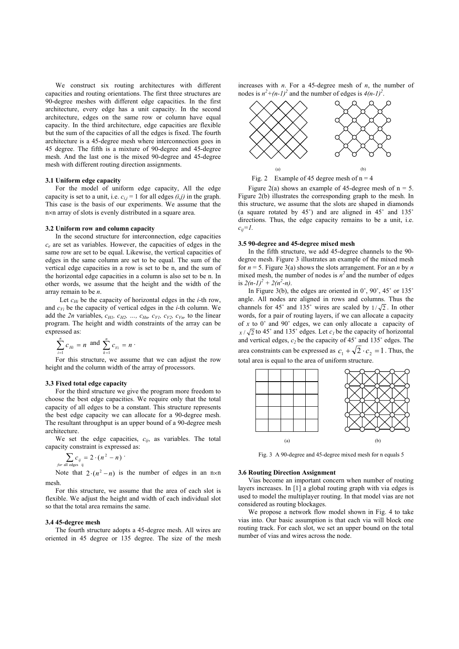We construct six routing architectures with different capacities and routing orientations. The first three structures are 90-degree meshes with different edge capacities. In the first architecture, every edge has a unit capacity. In the second architecture, edges on the same row or column have equal capacity. In the third architecture, edge capacities are flexible but the sum of the capacities of all the edges is fixed. The fourth architecture is a 45-degree mesh where interconnection goes in 45 degree. The fifth is a mixture of 90-degree and 45-degree mesh. And the last one is the mixed 90-degree and 45-degree mesh with different routing direction assignments.

### **3.1 Uniform edge capacity**

For the model of uniform edge capacity, All the edge capacity is set to a unit, i.e.  $c_{i,j} = 1$  for all edges  $(i,j)$  in the graph. This case is the basis of our experiments. We assume that the n×n array of slots is evenly distributed in a square area.

#### **3.2 Uniform row and column capacity**

In the second structure for interconnection, edge capacities *ce* are set as variables. However, the capacities of edges in the same row are set to be equal. Likewise, the vertical capacities of edges in the same column are set to be equal. The sum of the vertical edge capacities in a row is set to be n, and the sum of the horizontal edge capacities in a column is also set to be n. In other words, we assume that the height and the width of the array remain to be *n*.

Let  $c_{Hi}$  be the capacity of horizontal edges in the *i*-th row, and  $c_{Vi}$  be the capacity of vertical edges in the *i*-th column. We add the  $2n$  variables,  $c_{H1}$ ,  $c_{H2}$ , ...,  $c_{Hn}$ ,  $c_{V1}$ ,  $c_{V2}$ ,  $c_{Vn}$ , to the linear program. The height and width constraints of the array can be expressed as:

$$
\sum_{i=1}^n c_{Hi} = n \text{ and } \sum_{k=1}^n c_{Vi} = n \cdot
$$

For this structure, we assume that we can adjust the row height and the column width of the array of processors.

## **3.3 Fixed total edge capacity**

For the third structure we give the program more freedom to choose the best edge capacities. We require only that the total capacity of all edges to be a constant. This structure represents the best edge capacity we can allocate for a 90-degree mesh. The resultant throughput is an upper bound of a 90-degree mesh architecture.

We set the edge capacities,  $c_{ij}$ , as variables. The total capacity constraint is expressed as:

$$
\sum_{\text{for all edges } ij} c_{ij} = 2 \cdot (n^2 - n) \cdot
$$

Note that  $2 \cdot (n^2 - n)$  is the number of edges in an n×n mesh.

For this structure, we assume that the area of each slot is flexible. We adjust the height and width of each individual slot so that the total area remains the same.

#### **3.4 45-degree mesh**

The fourth structure adopts a 45-degree mesh. All wires are oriented in 45 degree or 135 degree. The size of the mesh increases with *n*. For a 45-degree mesh of *n*, the number of nodes is  $n^2 + (n-1)^2$  and the number of edges is  $4(n-1)^2$ .



Fig. 2 Example of 45 degree mesh of  $n = 4$ 

Figure 2(a) shows an example of 45-degree mesh of  $n = 5$ . Figure 2(b) illustrates the corresponding graph to the mesh. In this structure, we assume that the slots are shaped in diamonds (a square rotated by  $45^{\circ}$ ) and are aligned in  $45^{\circ}$  and  $135^{\circ}$ directions. Thus, the edge capacity remains to be a unit, i.e. *cij=1.*

#### **3.5 90-degree and 45-degree mixed mesh**

In the fifth structure, we add 45-degree channels to the 90 degree mesh. Figure 3 illustrates an example of the mixed mesh for  $n = 5$ . Figure 3(a) shows the slots arrangement. For an *n* by *n* mixed mesh, the number of nodes is  $n^2$  and the number of edges is  $2(n-1)^2 + 2(n^2-n)$ .

In Figure 3(b), the edges are oriented in  $0^\circ$ ,  $90^\circ$ ,  $45^\circ$  or  $135^\circ$ angle. All nodes are aligned in rows and columns. Thus the channels for 45° and 135° wires are scaled by  $1/\sqrt{2}$ . In other words, for a pair of routing layers, if we can allocate a capacity of *x* to 0˚ and 90˚ edges, we can only allocate a capacity of  $x/\sqrt{2}$  to 45° and 135° edges. Let  $c<sub>l</sub>$  be the capacity of horizontal and vertical edges,  $c_2$  be the capacity of  $45^\circ$  and  $135^\circ$  edges. The area constraints can be expressed as  $c_1 + \sqrt{2} \cdot c_2 = 1$ . Thus, the total area is equal to the area of uniform structure.



Fig. 3 A 90-degree and 45-degree mixed mesh for n equals 5

#### **3.6 Routing Direction Assignment**

Vias become an important concern when number of routing layers increases. In [1] a global routing graph with via edges is used to model the multiplayer routing. In that model vias are not considered as routing blockages.

We propose a network flow model shown in Fig. 4 to take vias into. Our basic assumption is that each via will block one routing track. For each slot, we set an upper bound on the total number of vias and wires across the node.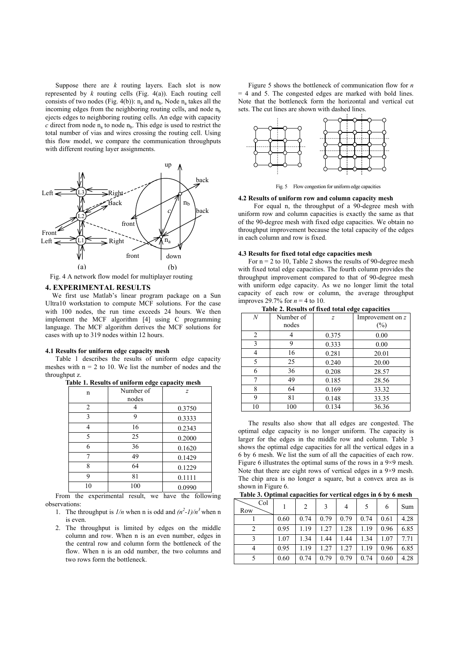Suppose there are  $k$  routing layers. Each slot is now represented by *k* routing cells (Fig. 4(a)). Each routing cell consists of two nodes (Fig. 4(b)):  $n_a$  and  $n_b$ . Node  $n_a$  takes all the incoming edges from the neighboring routing cells, and node  $n<sub>b</sub>$ ejects edges to neighboring routing cells. An edge with capacity  $c$  direct from node  $n_a$  to node  $n_b$ . This edge is used to restrict the total number of vias and wires crossing the routing cell. Using this flow model, we compare the communication throughputs with different routing layer assignments.



Fig. 4 A network flow model for multiplayer routing

### **4. EXPERIMENTAL RESULTS**

We first use Matlab's linear program package on a Sun Ultra10 workstation to compute MCF solutions. For the case with 100 nodes, the run time exceeds 24 hours. We then implement the MCF algorithm [4] using C programming language. The MCF algorithm derives the MCF solutions for cases with up to 319 nodes within 12 hours.

#### **4.1 Results for uniform edge capacity mesh**

Table 1 describes the results of uniform edge capacity meshes with  $n = 2$  to 10. We list the number of nodes and the throughput z.

| ---------- |           | $\cdots$       |
|------------|-----------|----------------|
| n          | Number of | $\overline{z}$ |
|            | nodes     |                |
| 2          |           | 0.3750         |
| 3          | 9         | 0.3333         |
| 4          | 16        | 0.2343         |
| 5          | 25        | 0.2000         |
| 6          | 36        | 0.1620         |
| 7          | 49        | 0.1429         |
| 8          | 64        | 0.1229         |
| 9          | 81        | 0.1111         |
| 10         | 100       | 0.0990         |

**Table 1. Results of uniform edge capacity mesh** 

From the experimental result, we have the following observations:

- 1. The throughput is  $1/n$  when n is odd and  $(n^2-1)/n^3$  when n is even.
- 2. The throughput is limited by edges on the middle column and row. When n is an even number, edges in the central row and column form the bottleneck of the flow. When n is an odd number, the two columns and two rows form the bottleneck.

Figure 5 shows the bottleneck of communication flow for *n* = 4 and 5. The congested edges are marked with bold lines. Note that the bottleneck form the horizontal and vertical cut sets. The cut lines are shown with dashed lines.



Fig. 5 Flow congestion for uniform edge capacities

#### **4.2 Results of uniform row and column capacity mesh**

For equal n, the throughput of a 90-degree mesh with uniform row and column capacities is exactly the same as that of the 90-degree mesh with fixed edge capacities. We obtain no throughput improvement because the total capacity of the edges in each column and row is fixed.

#### **4.3 Results for fixed total edge capacities mesh**

For  $n = 2$  to 10, Table 2 shows the results of 90-degree mesh with fixed total edge capacities. The fourth column provides the throughput improvement compared to that of 90-degree mesh with uniform edge capacity. As we no longer limit the total capacity of each row or column, the average throughput improves 29.7% for  $n = 4$  to 10. **Table 2. Results of fixed total edge**<br>**Table 2. Results of fixed total edg** 

| Table 2. Results of fixed total edge capacities |                    |                |                            |  |  |  |
|-------------------------------------------------|--------------------|----------------|----------------------------|--|--|--|
| $\boldsymbol{N}$                                | Number of<br>nodes | $\overline{z}$ | Improvement on z<br>$(\%)$ |  |  |  |
| 2                                               |                    | 0.375          | 0.00                       |  |  |  |
| 3                                               | 9                  | 0.333          | 0.00                       |  |  |  |
| 4                                               | 16                 | 0.281          | 20.01                      |  |  |  |
| 5                                               | 25                 | 0.240          | 20.00                      |  |  |  |
| 6                                               | 36                 | 0.208          | 28.57                      |  |  |  |
| 7                                               | 49                 | 0.185          | 28.56                      |  |  |  |
| 8                                               | 64                 | 0.169          | 33.32                      |  |  |  |
| 9                                               | 81                 | 0.148          | 33.35                      |  |  |  |
| 10                                              | 100                | 0.134          | 36.36                      |  |  |  |

The results also show that all edges are congested. The optimal edge capacity is no longer uniform. The capacity is larger for the edges in the middle row and column. Table 3 shows the optimal edge capacities for all the vertical edges in a

6 by 6 mesh. We list the sum of all the capacities of each row. Figure 6 illustrates the optimal sums of the rows in a 9×9 mesh. Note that there are eight rows of vertical edges in a 9×9 mesh. The chip area is no longer a square, but a convex area as is shown in Figure 6.

**Table 3. Optimal capacities for vertical edges in 6 by 6 mesh** 

| Col<br>Row |      | 2    | 3    |      | 5    | 6    | Sum  |
|------------|------|------|------|------|------|------|------|
|            | 0.60 | 0.74 | 0.79 | 0.79 | 0.74 | 0.61 | 4.28 |
|            | 0.95 | 1.19 | 1.27 | 1.28 | 1.19 | 0.96 | 6.85 |
|            | 1.07 | 1.34 | 1.44 | 1.44 | 1.34 | 1.07 | 7.71 |
|            | 0.95 | 1.19 | 1.27 | 1.27 | 1.19 | 0.96 | 6.85 |
|            | 0.60 | 0.74 | 0.79 | 0.79 | 0.74 | 0.60 | 4.28 |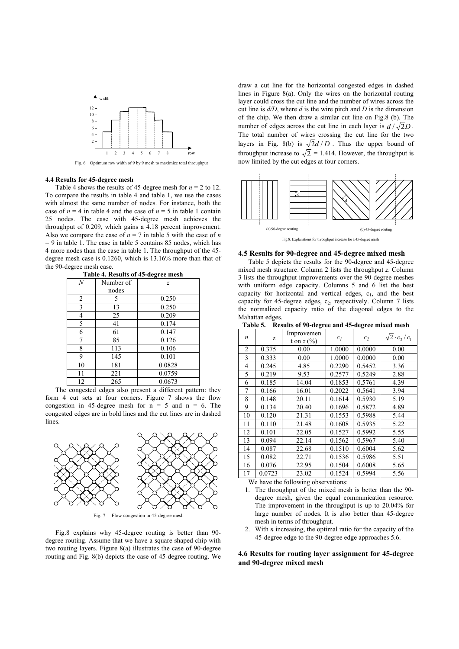

Fig. 6 Optimum row width of 9 by 9 mesh to maximize total throughput

### **4.4 Results for 45-degree mesh**

Table 4 shows the results of 45-degree mesh for  $n = 2$  to 12. To compare the results in table 4 and table 1, we use the cases with almost the same number of nodes. For instance, both the case of  $n = 4$  in table 4 and the case of  $n = 5$  in table 1 contain 25 nodes. The case with 45-degree mesh achieves the throughput of 0.209, which gains a 4.18 percent improvement. Also we compare the case of  $n = 7$  in table 5 with the case of *n*  $= 9$  in table 1. The case in table 5 contains 85 nodes, which has 4 more nodes than the case in table 1. The throughput of the 45 degree mesh case is 0.1260, which is 13.16% more than that of the 90-degree mesh case.

|    |           | -- 5-                       |
|----|-----------|-----------------------------|
| N  | Number of | $\mathcal{Z}_{\mathcal{L}}$ |
|    | nodes     |                             |
| 2  | 5         | 0.250                       |
| 3  | 13        | 0.250                       |
| 4  | 25        | 0.209                       |
| 5  | 41        | 0.174                       |
| 6  | 61        | 0.147                       |
| 7  | 85        | 0.126                       |
| 8  | 113       | 0.106                       |
| 9  | 145       | 0.101                       |
| 10 | 181       | 0.0828                      |
| 11 | 221       | 0.0759                      |
| 12 | 265       | 0.0673                      |

**Table 4. Results of 45-degree mesh**

The congested edges also present a different pattern: they form 4 cut sets at four corners. Figure 7 shows the flow congestion in 45-degree mesh for  $n = 5$  and  $n = 6$ . The congested edges are in bold lines and the cut lines are in dashed lines.



Fig. 7 Flow congestion in 45-degree mesh

Fig.8 explains why 45-degree routing is better than 90 degree routing. Assume that we have a square shaped chip with two routing layers. Figure 8(a) illustrates the case of 90-degree routing and Fig. 8(b) depicts the case of 45-degree routing. We draw a cut line for the horizontal congested edges in dashed lines in Figure 8(a). Only the wires on the horizontal routing layer could cross the cut line and the number of wires across the cut line is *d/D*, where *d* is the wire pitch and *D* is the dimension of the chip. We then draw a similar cut line on Fig.8 (b). The number of edges across the cut line in each layer is  $d / \sqrt{2}D$ . The total number of wires crossing the cut line for the two layers in Fig. 8(b) is  $\sqrt{2}d/D$ . Thus the upper bound of throughput increase to  $\sqrt{2}$  = 1.414. However, the throughput is now limited by the cut edges at four corners.



#### **4.5 Results for 90-degree and 45-degree mixed mesh**

Table 5 depicts the results for the 90-degree and 45-degree mixed mesh structure. Column 2 lists the throughput *z*. Column 3 lists the throughput improvements over the 90-degree meshes with uniform edge capacity. Columns 5 and 6 list the best capacity for horizontal and vertical edges,  $c_1$ , and the best capacity for 45-degree edges,  $c_2$ , respectively. Column 7 lists the normalized capacity ratio of the diagonal edges to the Mahattan edges.

**Table 5. Results of 90-degree and 45-degree mixed mesh** 

| $\boldsymbol{n}$ | z      | Improvemen<br>t on $z(%)$ | c <sub>1</sub> | c <sub>2</sub> | $\sqrt{2} \cdot c_2/c_1$ |
|------------------|--------|---------------------------|----------------|----------------|--------------------------|
| $\overline{2}$   | 0.375  | 0.00                      | 1.0000         | 0.0000         | 0.00                     |
| 3                | 0.333  | 0.00                      | 1.0000         | 0.0000         | 0.00                     |
| 4                | 0.245  | 4.85                      | 0.2290         | 0.5452         | 3.36                     |
| 5                | 0.219  | 9.53                      | 0.2577         | 0.5249         | 2.88                     |
| 6                | 0.185  | 14.04                     | 0.1853         | 0.5761         | 4.39                     |
| 7                | 0.166  | 16.01                     | 0.2022         | 0.5641         | 3.94                     |
| 8                | 0.148  | 20.11                     | 0.1614         | 0.5930         | 5.19                     |
| 9                | 0.134  | 20.40                     | 0.1696         | 0.5872         | 4.89                     |
| 10               | 0.120  | 21.31                     | 0.1553         | 0.5988         | 5.44                     |
| 11               | 0.110  | 21.48                     | 0.1608         | 0.5935         | 5.22                     |
| 12               | 0.101  | 22.05                     | 0.1527         | 0.5992         | 5.55                     |
| 13               | 0.094  | 22.14                     | 0.1562         | 0.5967         | 5.40                     |
| 14               | 0.087  | 22.68                     | 0.1510         | 0.6004         | 5.62                     |
| 15               | 0.082  | 22.71                     | 0.1536         | 0.5986         | 5.51                     |
| 16               | 0.076  | 22.95                     | 0.1504         | 0.6008         | 5.65                     |
| 17               | 0.0723 | 23.02                     | 0.1524         | 0.5994         | 5.56                     |

We have the following observations:

- 1. The throughput of the mixed mesh is better than the 90 degree mesh, given the equal communication resource. The improvement in the throughput is up to 20.04% for large number of nodes. It is also better than 45-degree mesh in terms of throughput.
- 2. With *n* increasing, the optimal ratio for the capacity of the 45-degree edge to the 90-degree edge approaches 5.6.

## **4.6 Results for routing layer assignment for 45-degree and 90-degree mixed mesh**